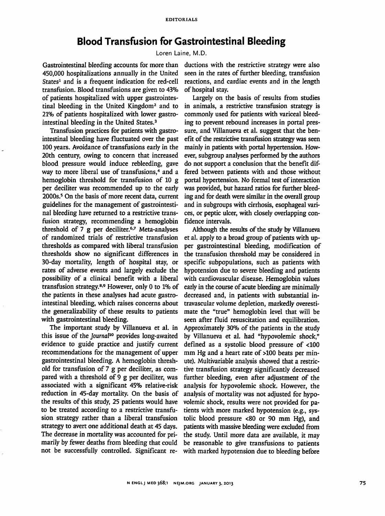## *Blood Transfusion for Gastrointestinal Bleeding*

Loren Laine, M.D.

Gastrointestinal bleeding accounts for more than 450,000 hospitalizations annually in the United States<sup>1</sup> and is a frequent indication for red-cell transfusion. Blood transfusions are given to 43% of patients hospitalized with upper gastrointes tinal bleeding in the United Kingdom2 and to 21% of patients hospitalized with lower gastro intestinal bleeding in the United States.3

Transfusion practices for patients with gastro intestinal bleeding have fluctuated over the past 100 years. Avoidance of transfusions early in the 20th century, owing to concern that increased blood pressure would induce rebleeding, gave way to more liberal use of transfusions,<sup>4</sup> and a hemoglobin threshold for transfusion of 10 g per deciliter was recommended up to the early 2000s.<sup>5</sup> On the basis of more recent data, current guidelines for the management of gastrointesti nal bleeding have returned to a restrictive trans fusion strategy, recommending a hemoglobin threshold of 7 g per deciliter.<sup>6,7</sup> Meta-analyses of randomized trials of restrictive transfusion thresholds as compared with liberal transfusion thresholds show no significant differences in 30-day mortality, length of hospital stay, or rates of adverse events and largely exclude the possibility of a clinical benefit with a liberal transfusion strategy.8-9 However, only 0 to 1% of the patients in these analyses had acute gastro intestinal bleeding, which raises concerns about the generalizability of these results to patients with gastrointestinal bleeding.

The important study by Villanueva et al. in this issue of the Journal<sup>10</sup> provides long-awaited evidence to guide practice and justify current recommendations for the management of upper gastrointestinal bleeding. A hemoglobin thresh old for transfusion of 7 g per deciliter, as com pared with a threshold of 9 g per deciliter, was associated with a significant 45% relative-risk reduction in 45-day mortality. On the basis of the results of this study, 25 patients would have to be treated according to a restrictive transfu sion strategy rather than a liberal transfusion strategy to avert one additional death at 45 days. The decrease in mortality was accounted for pri marily by fewer deaths from bleeding that could not be successfully controlled. Significant re

ductions with the restrictive strategy were also seen in the rates of further bleeding, transfusion reactions, and cardiac events and in the length of hospital stay.

Largely on the basis of results from studies in animals, a restrictive transfusion strategy is commonly used for patients with variceal bleed ing to prevent rebound increases in portal pres sure, and Villanueva et al. suggest that the ben efit of the restrictive transfusion strategy was seen mainly in patients with portal hypertension. How ever, subgroup analyses performed by the authors do not support a conclusion that the benefit dif fered between patients with and those without portal hypertension. No formal test of interaction was provided, but hazard ratios for further bleed ing and for death were similar in the overall group and in subgroups with cirrhosis, esophageal vari ces, or peptic ulcer, with closely overlapping confidence intervals.

Although the results of the study by Villanueva et al. apply to a broad group of patients with up per gastrointestinal bleeding, modification of the transfusion threshold may be considered in specific subpopulations, such as patients with hypotension due to severe bleeding and patients with cardiovascular disease. Hemoglobin values early in the course of acute bleeding are minimally decreased and, in patients with substantial in travascular volume depletion, markedly overesti mate the "true" hemoglobin level that will be seen after fluid resuscitation and equilibration. Approximately 30% of the patients in the study by Villanueva et al. had "hypovolemic shock," defined as a systolic blood pressure of <100 mm Hg and a heart rate of >100 beats per minute). Multivariable analysis showed that a restric tive transfusion strategy significantly decreased further bleeding, even after adjustment of the analysis for hypovolemic shock. However, the analysis of mortality was not adjusted for hypo volemic shock, results were not provided for pa tients with more marked hypotension (e.g., sys tolic blood pressure <80 or 90 mm Hg), and patients with massive bleeding were excluded from the study. Until more data are available, it may be reasonable to give transfusions to patients with marked hypotension due to bleeding before